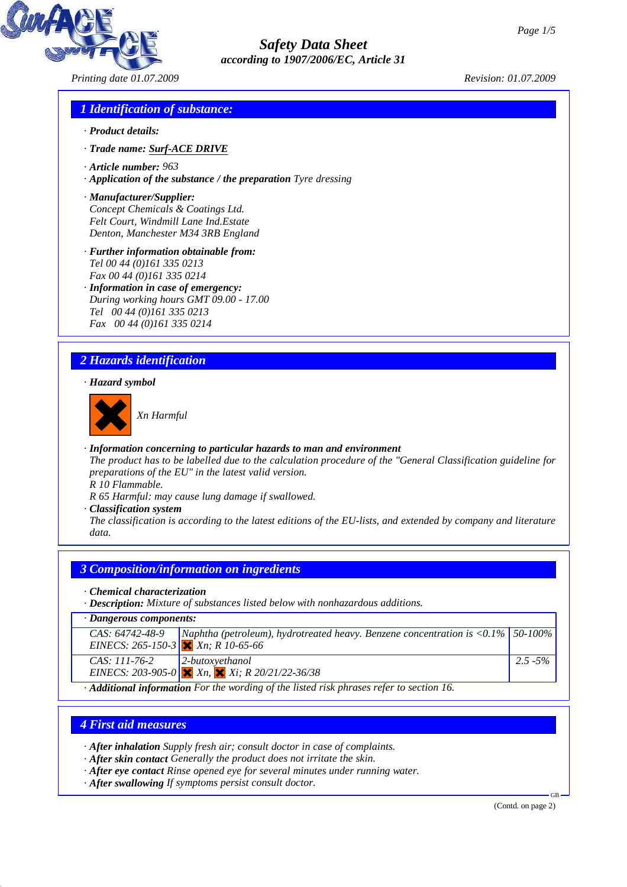

## *Safety Data Sheet according to 1907/2006/EC, Article 31*

*Printing date 01.07.2009 Revision: 01.07.2009*

### *1 Identification of substance:*

- *· Product details:*
- *· Trade name: Surf-ACE DRIVE*
- *· Article number: 963*
- *· Application of the substance / the preparation Tyre dressing*
- *· Manufacturer/Supplier: Concept Chemicals & Coatings Ltd. Felt Court, Windmill Lane Ind.Estate Denton, Manchester M34 3RB England*
- *· Further information obtainable from: Tel 00 44 (0)161 335 0213 Fax 00 44 (0)161 335 0214*
- *· Information in case of emergency: During working hours GMT 09.00 - 17.00 Tel 00 44 (0)161 335 0213 Fax 00 44 (0)161 335 0214*

## *2 Hazards identification*

#### *· Hazard symbol*



*Xn Harmful*

*· Information concerning to particular hazards to man and environment*

*The product has to be labelled due to the calculation procedure of the "General Classification guideline for preparations of the EU" in the latest valid version.*

*R 10 Flammable.*

*R 65 Harmful: may cause lung damage if swallowed.*

*· Classification system*

*The classification is according to the latest editions of the EU-lists, and extended by company and literature data.*

#### *3 Composition/information on ingredients*

- *· Chemical characterization*
- *· Description: Mixture of substances listed below with nonhazardous additions.*

| · Dangerous components:                                                                               |                                                                                                      |             |  |
|-------------------------------------------------------------------------------------------------------|------------------------------------------------------------------------------------------------------|-------------|--|
| EINECS: 265-150-3 $\times$ Xn; R 10-65-66                                                             | CAS: $64742-48-9$ Naphtha (petroleum), hydrotreated heavy. Benzene concentration is <0.1% $50-100\%$ |             |  |
| CAS: 111-76-2                                                                                         | $ 2-butox$ vethanol<br>EINECS: 203-905-0 $\times$ Xn, $\times$ Xi; R 20/21/22-36/38                  | $2.5 - 5\%$ |  |
| $\cdot$ <b>Additional information</b> For the wording of the listed risk phrases refer to section 16. |                                                                                                      |             |  |

#### *4 First aid measures*

- *· After inhalation Supply fresh air; consult doctor in case of complaints.*
- *· After skin contact Generally the product does not irritate the skin.*
- *· After eye contact Rinse opened eye for several minutes under running water.*
- *· After swallowing If symptoms persist consult doctor.*

(Contd. on page 2)

GB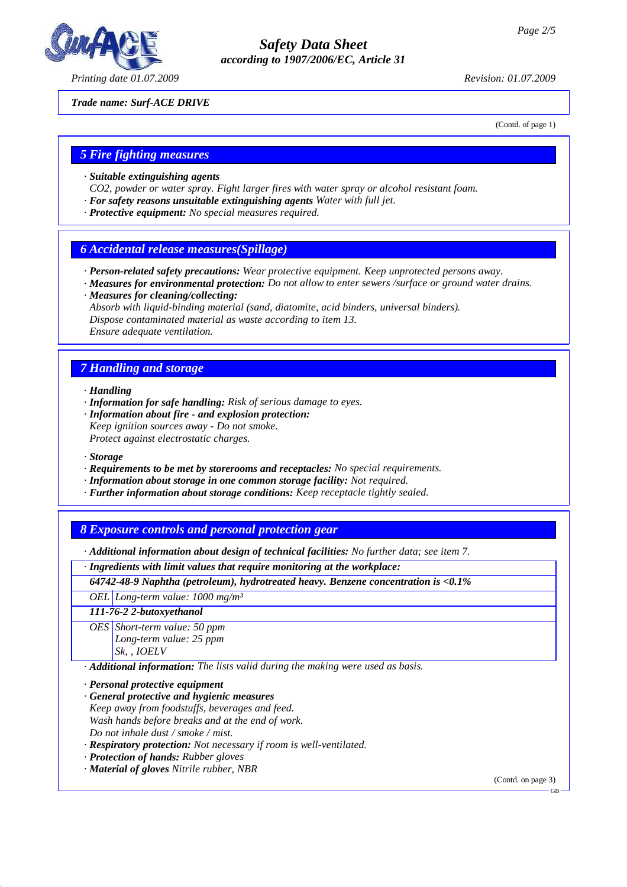

*Printing date 01.07.2009 Revision: 01.07.2009*

#### *Trade name: Surf-ACE DRIVE*

(Contd. of page 1)

#### *5 Fire fighting measures*

- *· Suitable extinguishing agents*
- *CO2, powder or water spray. Fight larger fires with water spray or alcohol resistant foam.*
- *· For safety reasons unsuitable extinguishing agents Water with full jet.*
- *· Protective equipment: No special measures required.*

#### *6 Accidental release measures(Spillage)*

- *· Person-related safety precautions: Wear protective equipment. Keep unprotected persons away.*
- *· Measures for environmental protection: Do not allow to enter sewers /surface or ground water drains.*

*Safety Data Sheet according to 1907/2006/EC, Article 31*

- *· Measures for cleaning/collecting:*
- *Absorb with liquid-binding material (sand, diatomite, acid binders, universal binders). Dispose contaminated material as waste according to item 13.*
- *Ensure adequate ventilation.*

#### *7 Handling and storage*

- *· Handling*
- *· Information for safe handling: Risk of serious damage to eyes.*
- *· Information about fire and explosion protection: Keep ignition sources away - Do not smoke. Protect against electrostatic charges.*
- *· Storage*
- *· Requirements to be met by storerooms and receptacles: No special requirements.*
- *· Information about storage in one common storage facility: Not required.*
- *· Further information about storage conditions: Keep receptacle tightly sealed.*

#### *8 Exposure controls and personal protection gear*

*· Additional information about design of technical facilities: No further data; see item 7.*

*· Ingredients with limit values that require monitoring at the workplace:*

*64742-48-9 Naphtha (petroleum), hydrotreated heavy. Benzene concentration is <0.1%*

*OEL Long-term value: 1000 mg/m³*

#### *111-76-2 2-butoxyethanol*

*OES Short-term value: 50 ppm Long-term value: 25 ppm Sk, , IOELV*

*· Additional information: The lists valid during the making were used as basis.*

*· Personal protective equipment*

- *· General protective and hygienic measures*
- *Keep away from foodstuffs, beverages and feed. Wash hands before breaks and at the end of work.*
- *Do not inhale dust / smoke / mist.*
- *· Respiratory protection: Not necessary if room is well-ventilated.*
- *· Protection of hands: Rubber gloves*
- *· Material of gloves Nitrile rubber, NBR*

(Contd. on page 3)

GB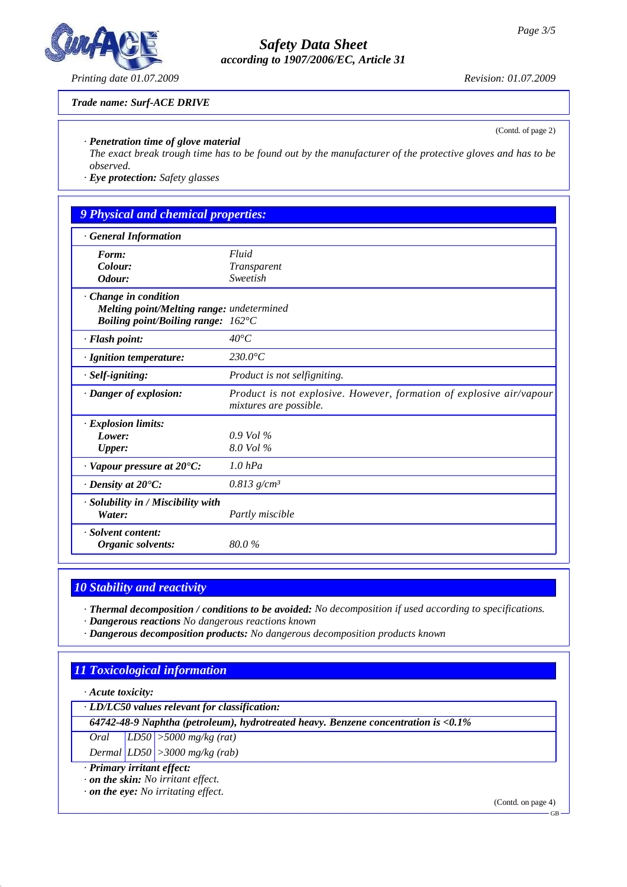

*Printing date 01.07.2009 Revision: 01.07.2009*

#### *Trade name: Surf-ACE DRIVE*

(Contd. of page 2)

*· Penetration time of glove material*

*The exact break trough time has to be found out by the manufacturer of the protective gloves and has to be observed.*

*Safety Data Sheet according to 1907/2006/EC, Article 31*

*· Eye protection: Safety glasses*

# *9 Physical and chemical properties:*

| <b>General Information</b>                                                                                       |                                                                                                |  |
|------------------------------------------------------------------------------------------------------------------|------------------------------------------------------------------------------------------------|--|
| Form:<br>Colour:<br>Odour:                                                                                       | Fluid<br>Transparent<br>Sweetish                                                               |  |
| Change in condition<br>Melting point/Melting range: undetermined<br>Boiling point/Boiling range: $162^{\circ}$ C |                                                                                                |  |
| · Flash point:                                                                                                   | $40^{\circ}C$                                                                                  |  |
| · Ignition temperature:                                                                                          | $230.0$ °C                                                                                     |  |
| · Self-igniting:                                                                                                 | Product is not selfigniting.                                                                   |  |
| · Danger of explosion:                                                                                           | Product is not explosive. However, formation of explosive air/vapour<br>mixtures are possible. |  |
| · Explosion limits:<br>Lower:<br><b>Upper:</b>                                                                   | $0.9$ Vol %<br>8.0 Vol %                                                                       |  |
| $\cdot$ Vapour pressure at 20 $\textdegree$ C:                                                                   | $1.0$ hPa                                                                                      |  |
| $\cdot$ Density at 20 $\cdot$ C:                                                                                 | $0.813$ g/cm <sup>3</sup>                                                                      |  |
| · Solubility in / Miscibility with<br>Water:                                                                     | Partly miscible                                                                                |  |
| · Solvent content:<br>Organic solvents:                                                                          | 80.0%                                                                                          |  |

### *10 Stability and reactivity*

*· Thermal decomposition / conditions to be avoided: No decomposition if used according to specifications.*

*· Dangerous reactions No dangerous reactions known*

*· Dangerous decomposition products: No dangerous decomposition products known*

## *11 Toxicological information*

*· Acute toxicity:*

*· LD/LC50 values relevant for classification:*

*64742-48-9 Naphtha (petroleum), hydrotreated heavy. Benzene concentration is <0.1%*

*Oral LD50 >5000 mg/kg (rat)*

*Dermal LD50 >3000 mg/kg (rab)*

*· Primary irritant effect:*

*· on the skin: No irritant effect.*

*· on the eye: No irritating effect.*

(Contd. on page 4)

GB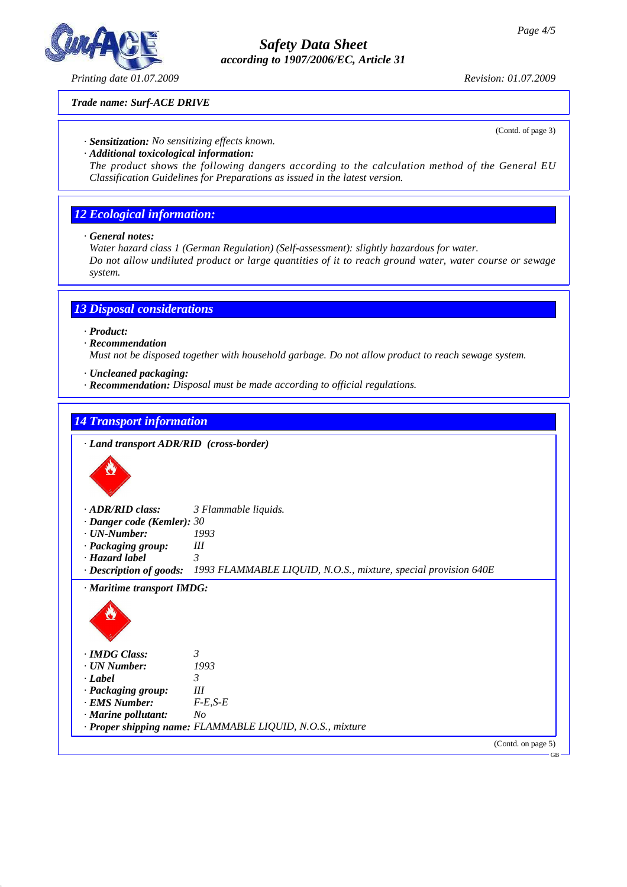

*Printing date 01.07.2009 Revision: 01.07.2009*

# *Safety Data Sheet according to 1907/2006/EC, Article 31*

(Contd. of page 3)

#### *Trade name: Surf-ACE DRIVE*

*· Sensitization: No sensitizing effects known.*

*· Additional toxicological information:*

*The product shows the following dangers according to the calculation method of the General EU Classification Guidelines for Preparations as issued in the latest version.*

# *12 Ecological information:*

*· General notes:*

*Water hazard class 1 (German Regulation) (Self-assessment): slightly hazardous for water. Do not allow undiluted product or large quantities of it to reach ground water, water course or sewage system.*

### *13 Disposal considerations*

- *· Product:*
- *· Recommendation*

*Must not be disposed together with household garbage. Do not allow product to reach sewage system.*

- *· Uncleaned packaging:*
- *· Recommendation: Disposal must be made according to official regulations.*

#### *14 Transport information*

| · Land transport ADR/RID (cross-border) |                                                                |
|-----------------------------------------|----------------------------------------------------------------|
|                                         |                                                                |
| $\cdot$ ADR/RID class:                  | 3 Flammable liquids.                                           |
| · Danger code (Kemler): 30              |                                                                |
| $\cdot$ UN-Number:                      | 1993                                                           |
| · Packaging group:                      | Ш                                                              |
| · Hazard label                          | $\mathfrak{Z}$                                                 |
| · Description of goods:                 | 1993 FLAMMABLE LIQUID, N.O.S., mixture, special provision 640E |
| · Maritime transport IMDG:              |                                                                |
|                                         |                                                                |
| · IMDG Class:                           | $\mathcal{E}$                                                  |
| · UN Number:                            | 1993                                                           |
| · Label                                 | $\mathcal{E}$                                                  |
| · Packaging group:                      | III                                                            |
| · EMS Number:                           | $F-E, S-E$                                                     |
| $\cdot$ Marine pollutant:               | No                                                             |
|                                         | · Proper shipping name: FLAMMABLE LIQUID, N.O.S., mixture      |
|                                         | (Contd. on page 5)                                             |
|                                         | GB                                                             |